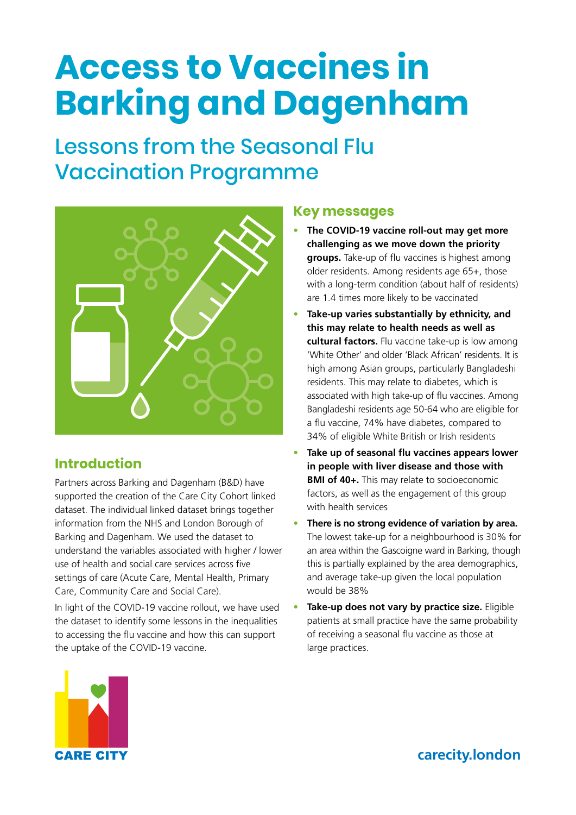# **Access to Vaccines in Barking and Dagenham**

# Lessons from the Seasonal Flu Vaccination Programme



# **Introduction**

Partners across Barking and Dagenham (B&D) have supported the creation of the Care City Cohort linked dataset. The individual linked dataset brings together information from the NHS and London Borough of Barking and Dagenham. We used the dataset to understand the variables associated with higher / lower use of health and social care services across five settings of care (Acute Care, Mental Health, Primary Care, Community Care and Social Care).

In light of the COVID-19 vaccine rollout, we have used the dataset to identify some lessons in the inequalities to accessing the flu vaccine and how this can support the uptake of the COVID-19 vaccine.

#### **Key messages**

- **The COVID-19 vaccine roll-out may get more challenging as we move down the priority groups.** Take-up of flu vaccines is highest among older residents. Among residents age 65+, those with a long-term condition (about half of residents) are 1.4 times more likely to be vaccinated
- **Take-up varies substantially by ethnicity, and this may relate to health needs as well as cultural factors.** Flu vaccine take-up is low among 'White Other' and older 'Black African' residents. It is high among Asian groups, particularly Bangladeshi residents. This may relate to diabetes, which is associated with high take-up of flu vaccines. Among Bangladeshi residents age 50-64 who are eligible for a flu vaccine, 74% have diabetes, compared to 34% of eligible White British or Irish residents
- **Take up of seasonal flu vaccines appears lower in people with liver disease and those with BMI of 40+.** This may relate to socioeconomic factors, as well as the engagement of this group with health services
- **There is no strong evidence of variation by area.** The lowest take-up for a neighbourhood is 30% for an area within the Gascoigne ward in Barking, though this is partially explained by the area demographics, and average take-up given the local population would be 38%
- **Take-up does not vary by practice size.** Eligible patients at small practice have the same probability of receiving a seasonal flu vaccine as those at large practices.



**[carecity.london](http://www.carecity.london/)**